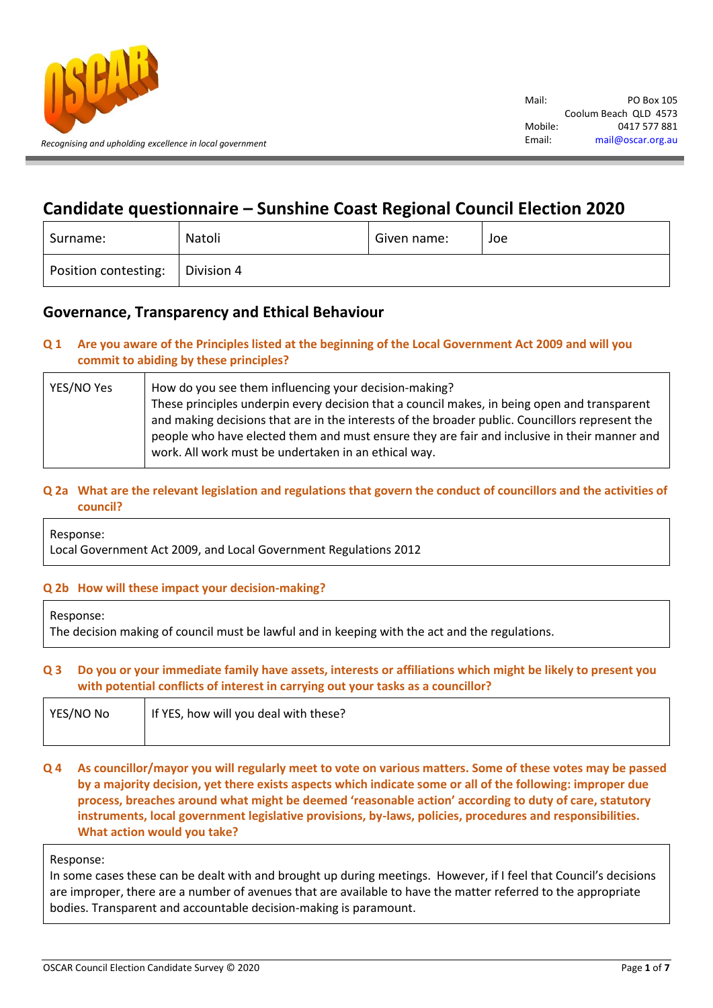

# **Candidate questionnaire – Sunshine Coast Regional Council Election 2020**

| Surname:                          | Natoli | Given name: | Joe |
|-----------------------------------|--------|-------------|-----|
| Position contesting:   Division 4 |        |             |     |

## **Governance, Transparency and Ethical Behaviour**

## **Q 1 Are you aware of the Principles listed at the beginning of the Local Government Act 2009 and will you commit to abiding by these principles?**

| YES/NO Yes | How do you see them influencing your decision-making?                                           |
|------------|-------------------------------------------------------------------------------------------------|
|            | These principles underpin every decision that a council makes, in being open and transparent    |
|            | and making decisions that are in the interests of the broader public. Councillors represent the |
|            | people who have elected them and must ensure they are fair and inclusive in their manner and    |
|            | work. All work must be undertaken in an ethical way.                                            |
|            |                                                                                                 |

## **Q 2a What are the relevant legislation and regulations that govern the conduct of councillors and the activities of council?**

Response:

Local Government Act 2009, and Local Government Regulations 2012

## **Q 2b How will these impact your decision-making?**

Response:

The decision making of council must be lawful and in keeping with the act and the regulations.

#### **Q 3 Do you or your immediate family have assets, interests or affiliations which might be likely to present you with potential conflicts of interest in carrying out your tasks as a councillor?**

| YES/NO No | If YES, how will you deal with these? |
|-----------|---------------------------------------|
|           |                                       |

**Q 4 As councillor/mayor you will regularly meet to vote on various matters. Some of these votes may be passed by a majority decision, yet there exists aspects which indicate some or all of the following: improper due process, breaches around what might be deemed 'reasonable action' according to duty of care, statutory instruments, local government legislative provisions, by-laws, policies, procedures and responsibilities. What action would you take?**

#### Response:

In some cases these can be dealt with and brought up during meetings. However, if I feel that Council's decisions are improper, there are a number of avenues that are available to have the matter referred to the appropriate bodies. Transparent and accountable decision-making is paramount.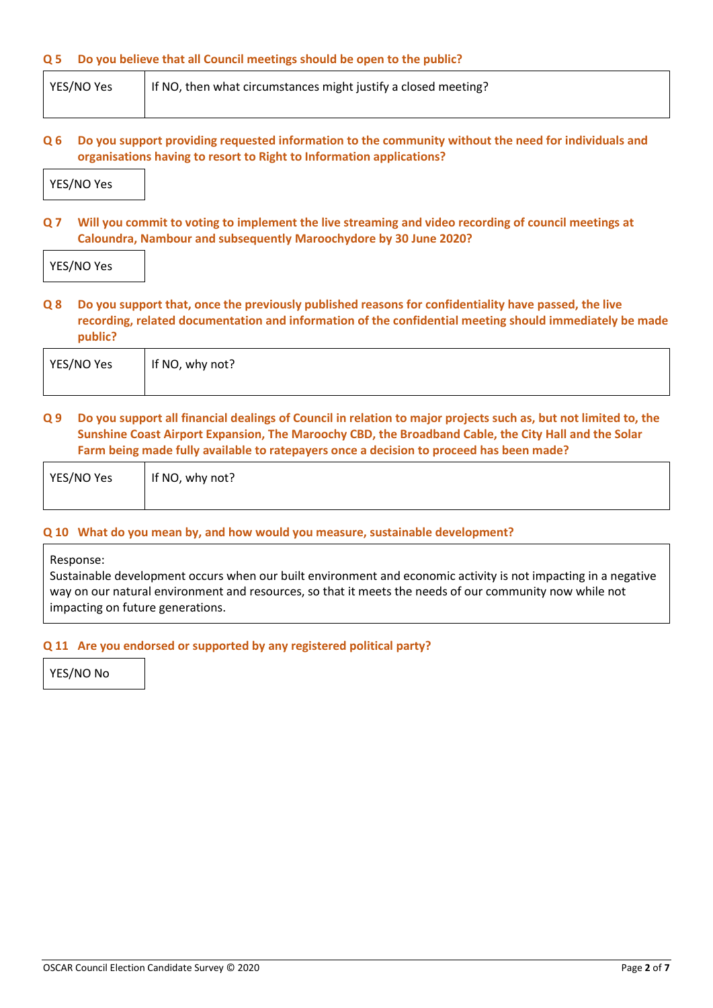#### **Q 5 Do you believe that all Council meetings should be open to the public?**

|--|

#### **Q 6 Do you support providing requested information to the community without the need for individuals and organisations having to resort to Right to Information applications?**



**Q 7 Will you commit to voting to implement the live streaming and video recording of council meetings at Caloundra, Nambour and subsequently Maroochydore by 30 June 2020?**

YES/NO Yes

**Q 8 Do you support that, once the previously published reasons for confidentiality have passed, the live recording, related documentation and information of the confidential meeting should immediately be made public?**

| YES/NO Yes | If NO, why not? |
|------------|-----------------|
|            |                 |

**Q 9 Do you support all financial dealings of Council in relation to major projects such as, but not limited to, the Sunshine Coast Airport Expansion, The Maroochy CBD, the Broadband Cable, the City Hall and the Solar Farm being made fully available to ratepayers once a decision to proceed has been made?**

| YES/NO Yes | If NO, why not? |
|------------|-----------------|
|            |                 |

#### **Q 10 What do you mean by, and how would you measure, sustainable development?**

Response:

Sustainable development occurs when our built environment and economic activity is not impacting in a negative way on our natural environment and resources, so that it meets the needs of our community now while not impacting on future generations.

#### **Q 11 Are you endorsed or supported by any registered political party?**

YES/NO No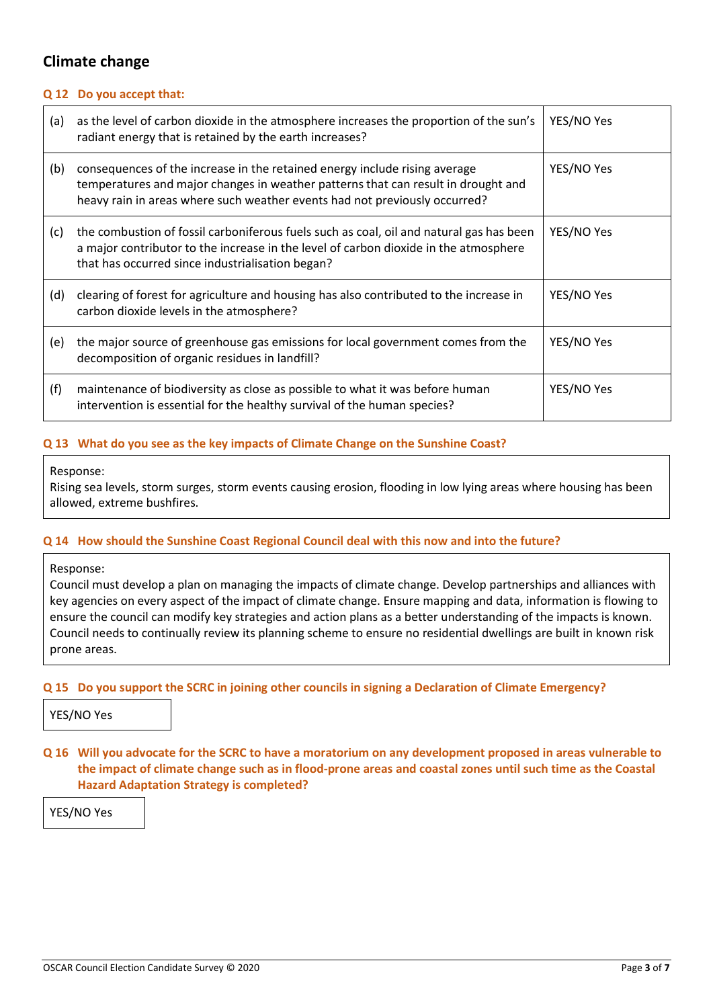## **Climate change**

#### **Q 12 Do you accept that:**

| (a) | as the level of carbon dioxide in the atmosphere increases the proportion of the sun's<br>radiant energy that is retained by the earth increases?                                                                                             | YES/NO Yes |
|-----|-----------------------------------------------------------------------------------------------------------------------------------------------------------------------------------------------------------------------------------------------|------------|
| (b) | consequences of the increase in the retained energy include rising average<br>temperatures and major changes in weather patterns that can result in drought and<br>heavy rain in areas where such weather events had not previously occurred? | YES/NO Yes |
| (c) | the combustion of fossil carboniferous fuels such as coal, oil and natural gas has been<br>a major contributor to the increase in the level of carbon dioxide in the atmosphere<br>that has occurred since industrialisation began?           | YES/NO Yes |
| (d) | clearing of forest for agriculture and housing has also contributed to the increase in<br>carbon dioxide levels in the atmosphere?                                                                                                            | YES/NO Yes |
| (e) | the major source of greenhouse gas emissions for local government comes from the<br>decomposition of organic residues in landfill?                                                                                                            | YES/NO Yes |
| (f) | maintenance of biodiversity as close as possible to what it was before human<br>intervention is essential for the healthy survival of the human species?                                                                                      | YES/NO Yes |

#### **Q 13 What do you see as the key impacts of Climate Change on the Sunshine Coast?**

#### Response:

Rising sea levels, storm surges, storm events causing erosion, flooding in low lying areas where housing has been allowed, extreme bushfires.

#### **Q 14 How should the Sunshine Coast Regional Council deal with this now and into the future?**

#### Response:

Council must develop a plan on managing the impacts of climate change. Develop partnerships and alliances with key agencies on every aspect of the impact of climate change. Ensure mapping and data, information is flowing to ensure the council can modify key strategies and action plans as a better understanding of the impacts is known. Council needs to continually review its planning scheme to ensure no residential dwellings are built in known risk prone areas.

#### **Q 15 Do you support the SCRC in joining other councils in signing a Declaration of Climate Emergency?**

YES/NO Yes

## **Q 16 Will you advocate for the SCRC to have a moratorium on any development proposed in areas vulnerable to the impact of climate change such as in flood-prone areas and coastal zones until such time as the Coastal Hazard Adaptation Strategy is completed?**

YES/NO Yes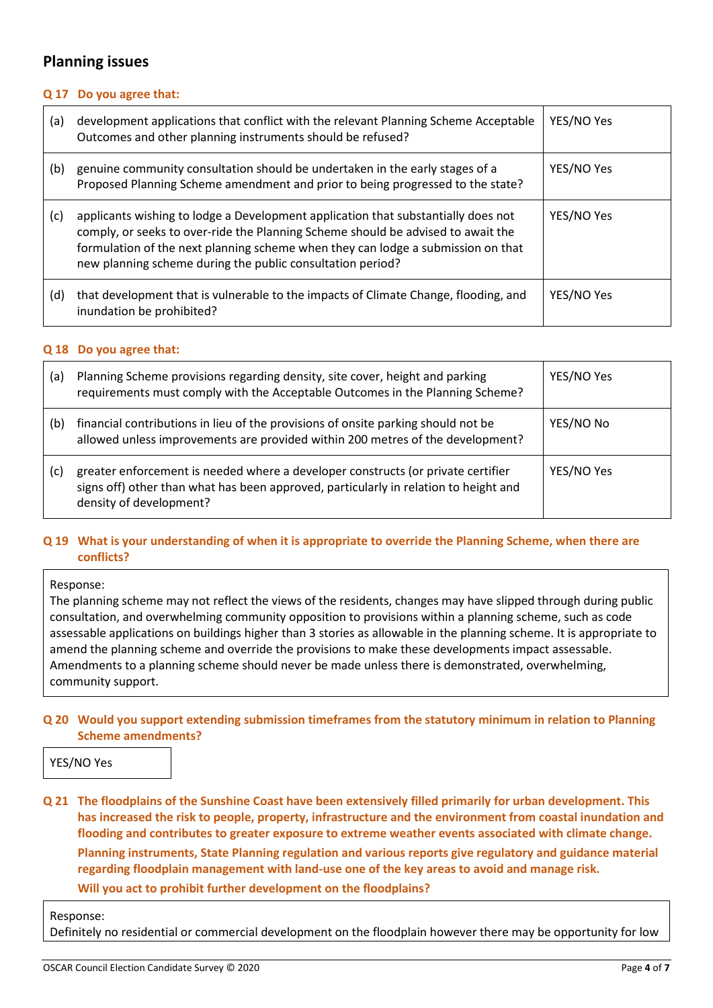## **Planning issues**

#### **Q 17 Do you agree that:**

| (a) | development applications that conflict with the relevant Planning Scheme Acceptable<br>Outcomes and other planning instruments should be refused?                                                                                                                                                                       | YES/NO Yes |
|-----|-------------------------------------------------------------------------------------------------------------------------------------------------------------------------------------------------------------------------------------------------------------------------------------------------------------------------|------------|
| (b) | genuine community consultation should be undertaken in the early stages of a<br>Proposed Planning Scheme amendment and prior to being progressed to the state?                                                                                                                                                          | YES/NO Yes |
| (c) | applicants wishing to lodge a Development application that substantially does not<br>comply, or seeks to over-ride the Planning Scheme should be advised to await the<br>formulation of the next planning scheme when they can lodge a submission on that<br>new planning scheme during the public consultation period? | YES/NO Yes |
| (d) | that development that is vulnerable to the impacts of Climate Change, flooding, and<br>inundation be prohibited?                                                                                                                                                                                                        | YES/NO Yes |

#### **Q 18 Do you agree that:**

| (a) | Planning Scheme provisions regarding density, site cover, height and parking<br>requirements must comply with the Acceptable Outcomes in the Planning Scheme?                                       | YES/NO Yes |
|-----|-----------------------------------------------------------------------------------------------------------------------------------------------------------------------------------------------------|------------|
| (b) | financial contributions in lieu of the provisions of onsite parking should not be<br>allowed unless improvements are provided within 200 metres of the development?                                 | YES/NO No  |
| (c) | greater enforcement is needed where a developer constructs (or private certifier<br>signs off) other than what has been approved, particularly in relation to height and<br>density of development? | YES/NO Yes |

#### **Q 19 What is your understanding of when it is appropriate to override the Planning Scheme, when there are conflicts?**

#### Response:

The planning scheme may not reflect the views of the residents, changes may have slipped through during public consultation, and overwhelming community opposition to provisions within a planning scheme, such as code assessable applications on buildings higher than 3 stories as allowable in the planning scheme. It is appropriate to amend the planning scheme and override the provisions to make these developments impact assessable. Amendments to a planning scheme should never be made unless there is demonstrated, overwhelming, community support.

#### **Q 20 Would you support extending submission timeframes from the statutory minimum in relation to Planning Scheme amendments?**

#### YES/NO Yes

**Q 21 The floodplains of the Sunshine Coast have been extensively filled primarily for urban development. This has increased the risk to people, property, infrastructure and the environment from coastal inundation and flooding and contributes to greater exposure to extreme weather events associated with climate change. Planning instruments, State Planning regulation and various reports give regulatory and guidance material regarding floodplain management with land-use one of the key areas to avoid and manage risk. Will you act to prohibit further development on the floodplains?**

#### Response:

Definitely no residential or commercial development on the floodplain however there may be opportunity for low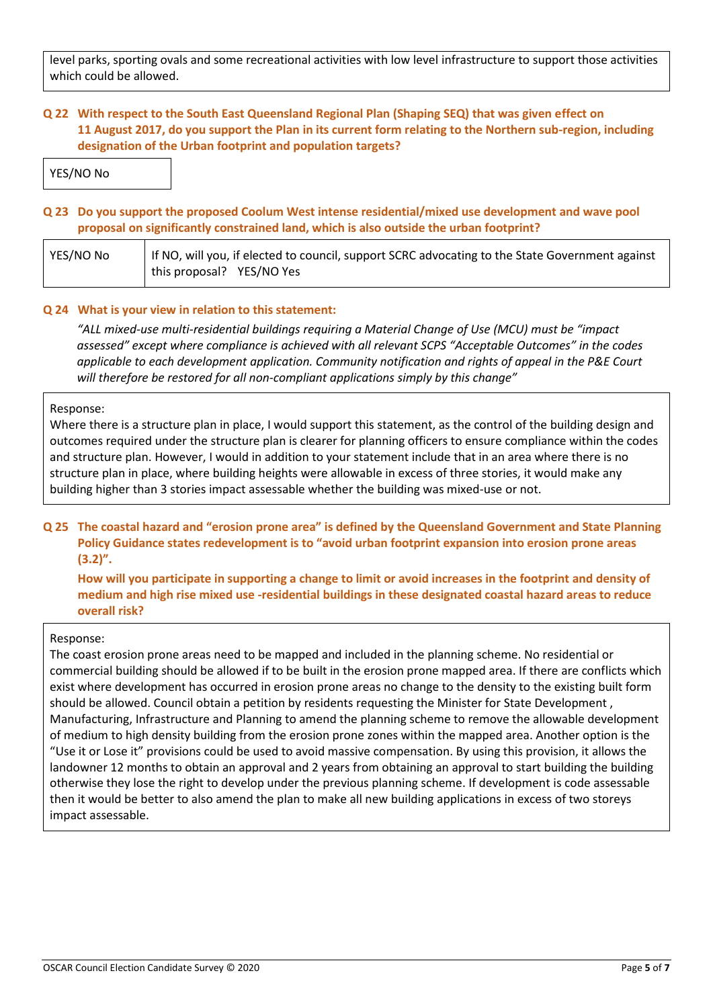level parks, sporting ovals and some recreational activities with low level infrastructure to support those activities which could be allowed.

## **Q 22 With respect to the South East Queensland Regional Plan (Shaping SEQ) that was given effect on 11 August 2017, do you support the Plan in its current form relating to the Northern sub-region, including designation of the Urban footprint and population targets?**

YES/NO No

## **Q 23 Do you support the proposed Coolum West intense residential/mixed use development and wave pool proposal on significantly constrained land, which is also outside the urban footprint?**

| YES/NO No | If NO, will you, if elected to council, support SCRC advocating to the State Government against |  |
|-----------|-------------------------------------------------------------------------------------------------|--|
|           | this proposal? YES/NO Yes                                                                       |  |

#### **Q 24 What is your view in relation to this statement:**

*"ALL mixed-use multi-residential buildings requiring a Material Change of Use (MCU) must be "impact assessed" except where compliance is achieved with all relevant SCPS "Acceptable Outcomes" in the codes applicable to each development application. Community notification and rights of appeal in the P&E Court will therefore be restored for all non-compliant applications simply by this change"*

#### Response:

Where there is a structure plan in place, I would support this statement, as the control of the building design and outcomes required under the structure plan is clearer for planning officers to ensure compliance within the codes and structure plan. However, I would in addition to your statement include that in an area where there is no structure plan in place, where building heights were allowable in excess of three stories, it would make any building higher than 3 stories impact assessable whether the building was mixed-use or not.

## **Q 25 The coastal hazard and "erosion prone area" is defined by the Queensland Government and State Planning Policy Guidance states redevelopment is to "avoid urban footprint expansion into erosion prone areas (3.2)".**

**How will you participate in supporting a change to limit or avoid increases in the footprint and density of medium and high rise mixed use -residential buildings in these designated coastal hazard areas to reduce overall risk?**

#### Response:

The coast erosion prone areas need to be mapped and included in the planning scheme. No residential or commercial building should be allowed if to be built in the erosion prone mapped area. If there are conflicts which exist where development has occurred in erosion prone areas no change to the density to the existing built form should be allowed. Council obtain a petition by residents requesting the Minister for State Development , Manufacturing, Infrastructure and Planning to amend the planning scheme to remove the allowable development of medium to high density building from the erosion prone zones within the mapped area. Another option is the "Use it or Lose it" provisions could be used to avoid massive compensation. By using this provision, it allows the landowner 12 months to obtain an approval and 2 years from obtaining an approval to start building the building otherwise they lose the right to develop under the previous planning scheme. If development is code assessable then it would be better to also amend the plan to make all new building applications in excess of two storeys impact assessable.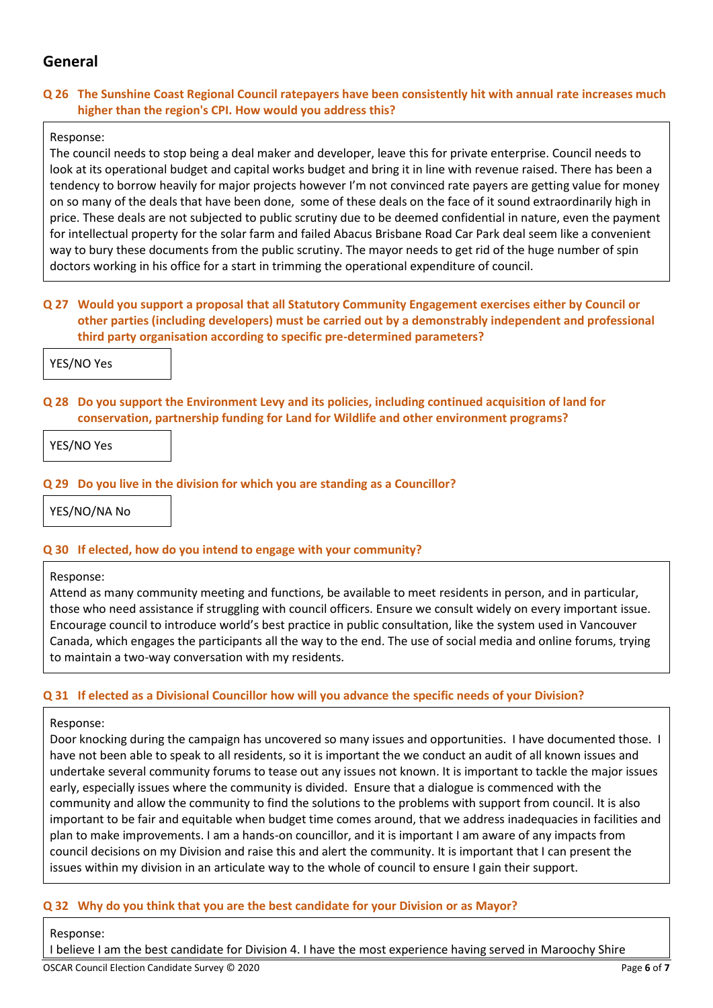## **General**

## **Q 26 The Sunshine Coast Regional Council ratepayers have been consistently hit with annual rate increases much higher than the region's CPI. How would you address this?**

## Response:

The council needs to stop being a deal maker and developer, leave this for private enterprise. Council needs to look at its operational budget and capital works budget and bring it in line with revenue raised. There has been a tendency to borrow heavily for major projects however I'm not convinced rate payers are getting value for money on so many of the deals that have been done, some of these deals on the face of it sound extraordinarily high in price. These deals are not subjected to public scrutiny due to be deemed confidential in nature, even the payment for intellectual property for the solar farm and failed Abacus Brisbane Road Car Park deal seem like a convenient way to bury these documents from the public scrutiny. The mayor needs to get rid of the huge number of spin doctors working in his office for a start in trimming the operational expenditure of council.

## **Q 27 Would you support a proposal that all Statutory Community Engagement exercises either by Council or other parties (including developers) must be carried out by a demonstrably independent and professional third party organisation according to specific pre-determined parameters?**

YES/NO Yes

#### **Q 28 Do you support the Environment Levy and its policies, including continued acquisition of land for conservation, partnership funding for Land for Wildlife and other environment programs?**

YES/NO Yes

## **Q 29 Do you live in the division for which you are standing as a Councillor?**

YES/NO/NA No

#### **Q 30 If elected, how do you intend to engage with your community?**

#### Response:

Attend as many community meeting and functions, be available to meet residents in person, and in particular, those who need assistance if struggling with council officers. Ensure we consult widely on every important issue. Encourage council to introduce world's best practice in public consultation, like the system used in Vancouver Canada, which engages the participants all the way to the end. The use of social media and online forums, trying to maintain a two-way conversation with my residents.

#### **Q 31 If elected as a Divisional Councillor how will you advance the specific needs of your Division?**

#### Response:

Door knocking during the campaign has uncovered so many issues and opportunities. I have documented those. I have not been able to speak to all residents, so it is important the we conduct an audit of all known issues and undertake several community forums to tease out any issues not known. It is important to tackle the major issues early, especially issues where the community is divided. Ensure that a dialogue is commenced with the community and allow the community to find the solutions to the problems with support from council. It is also important to be fair and equitable when budget time comes around, that we address inadequacies in facilities and plan to make improvements. I am a hands-on councillor, and it is important I am aware of any impacts from council decisions on my Division and raise this and alert the community. It is important that I can present the issues within my division in an articulate way to the whole of council to ensure I gain their support.

## **Q 32 Why do you think that you are the best candidate for your Division or as Mayor?**

#### Response:

I believe I am the best candidate for Division 4. I have the most experience having served in Maroochy Shire